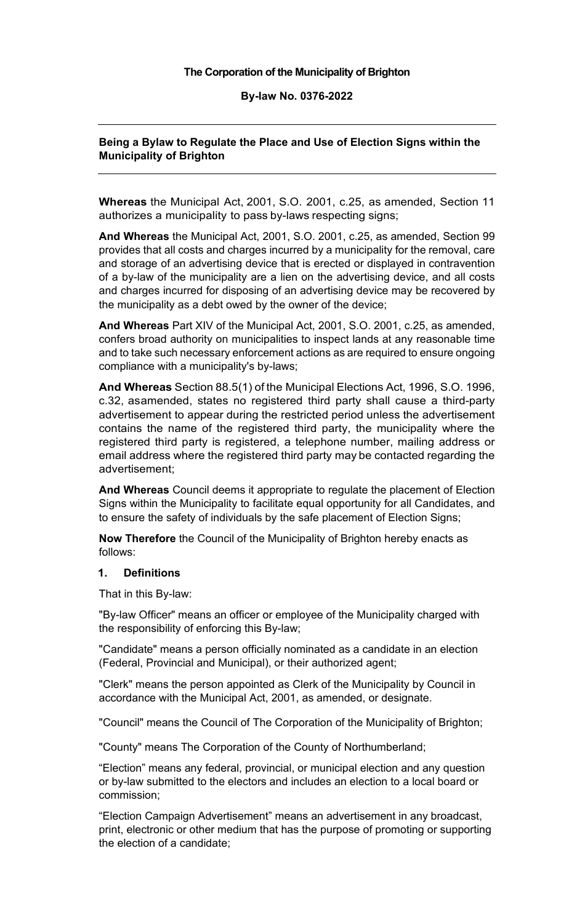#### **The Corporation of the Municipality of Brighton**

**By-law No. 0376-2022** 

## **Being a Bylaw to Regulate the Place and Use of Election Signs within the Municipality of Brighton**

 **Whereas** the Municipal Act, 2001, S.O. 2001, c.25, as amended, Section 11 authorizes a municipality to pass by-laws respecting signs;

 **And Whereas** the Municipal Act, 2001, S.O. 2001, c.25, as amended, Section 99 the municipality as a debt owed by the owner of the device; provides that all costs and charges incurred by a municipality for the removal, care and storage of an advertising device that is erected or displayed in contravention of a by-law of the municipality are a lien on the advertising device, and all costs and charges incurred for disposing of an advertising device may be recovered by

 **And Whereas** Part XIV of the Municipal Act, 2001, S.O. 2001, c.25, as amended, confers broad authority on municipalities to inspect lands at any reasonable time and to take such necessary enforcement actions as are required to ensure ongoing compliance with a municipality's by-laws;

 **And Whereas** Section 88.5(1) of the Municipal Elections Act, 1996, S.O. 1996, c.32, asamended, states no registered third party shall cause a third-party registered third party is registered, a telephone number, mailing address or email address where the registered third party may be contacted regarding the advertisement to appear during the restricted period unless the advertisement contains the name of the registered third party, the municipality where the advertisement;

 to ensure the safety of individuals by the safe placement of Election Signs; **And Whereas** Council deems it appropriate to regulate the placement of Election Signs within the Municipality to facilitate equal opportunity for all Candidates, and

 **Now Therefore** the Council of the Municipality of Brighton hereby enacts as follows:

#### **1. Definitions**

That in this By-law:

"By-law Officer" means an officer or employee of the Municipality charged with the responsibility of enforcing this By-law;

 "Candidate" means a person officially nominated as a candidate in an election (Federal, Provincial and Municipal), or their authorized agent;

 accordance with the Municipal Act, 2001, as amended, or designate. "Clerk" means the person appointed as Clerk of the Municipality by Council in

"Council" means the Council of The Corporation of the Municipality of Brighton;

"County" means The Corporation of the County of Northumberland;

commission; "Election" means any federal, provincial, or municipal election and any question or by-law submitted to the electors and includes an election to a local board or

commission;<br>"Election Campaign Advertisement" means an advertisement in any broadcast, print, electronic or other medium that has the purpose of promoting or supporting the election of a candidate;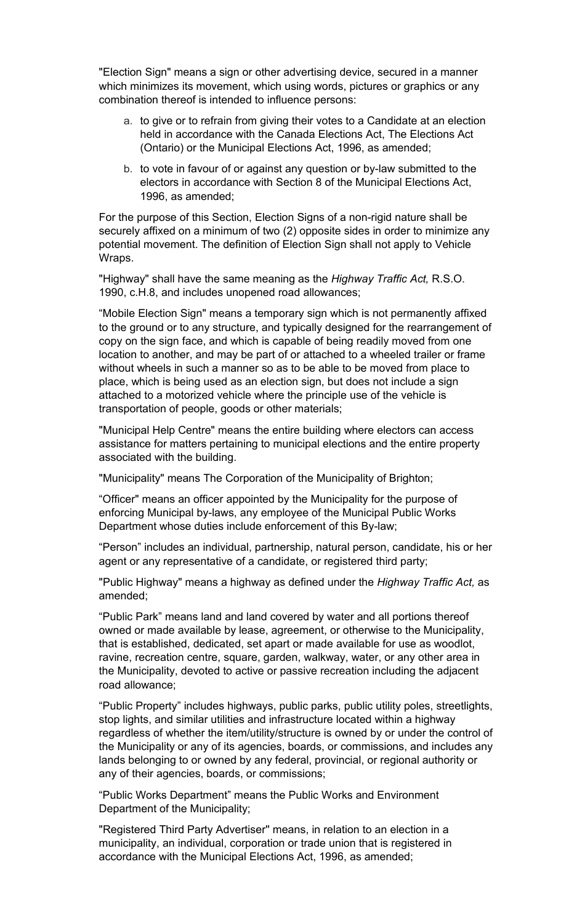"Election Sign" means a sign or other advertising device, secured in a manner which minimizes its movement, which using words, pictures or graphics or any combination thereof is intended to influence persons:

- a. to give or to refrain from giving their votes to a Candidate at an election held in accordance with the Canada Elections Act, The Elections Act (Ontario) or the Municipal Elections Act, 1996, as amended;
- b. to vote in favour of or against any question or by-law submitted to the electors in accordance with Section 8 of the Municipal Elections Act, 1996, as amended;

 potential movement. The definition of Election Sign shall not apply to Vehicle For the purpose of this Section, Election Signs of a non-rigid nature shall be securely affixed on a minimum of two (2) opposite sides in order to minimize any Wraps.

"Highway" shall have the same meaning as the *Highway Traffic Act,* R.S.O. 1990, c.H.8, and includes unopened road allowances;

 to the ground or to any structure, and typically designed for the rearrangement of "Mobile Election Sign" means a temporary sign which is not permanently affixed copy on the sign face, and which is capable of being readily moved from one location to another, and may be part of or attached to a wheeled trailer or frame without wheels in such a manner so as to be able to be moved from place to place, which is being used as an election sign, but does not include a sign attached to a motorized vehicle where the principle use of the vehicle is transportation of people, goods or other materials;

 assistance for matters pertaining to municipal elections and the entire property "Municipal Help Centre" means the entire building where electors can access associated with the building.

"Municipality" means The Corporation of the Municipality of Brighton;

 enforcing Municipal by-laws, any employee of the Municipal Public Works "Officer" means an officer appointed by the Municipality for the purpose of Department whose duties include enforcement of this By-law;

 "Person" includes an individual, partnership, natural person, candidate, his or her agent or any representative of a candidate, or registered third party;

"Public Highway" means a highway as defined under the *Highway Traffic Act,* as amended;

 that is established, dedicated, set apart or made available for use as woodlot, road allowance; "Public Park" means land and land covered by water and all portions thereof owned or made available by lease, agreement, or otherwise to the Municipality, ravine, recreation centre, square, garden, walkway, water, or any other area in the Municipality, devoted to active or passive recreation including the adjacent

 stop lights, and similar utilities and infrastructure located within a highway the Municipality or any of its agencies, boards, or commissions, and includes any "Public Property" includes highways, public parks, public utility poles, streetlights, regardless of whether the item/utility/structure is owned by or under the control of lands belonging to or owned by any federal, provincial, or regional authority or any of their agencies, boards, or commissions;

"Public Works Department" means the Public Works and Environment Department of the Municipality;

 accordance with the Municipal Elections Act, 1996, as amended; "Registered Third Party Advertiser'' means, in relation to an election in a municipality, an individual, corporation or trade union that is registered in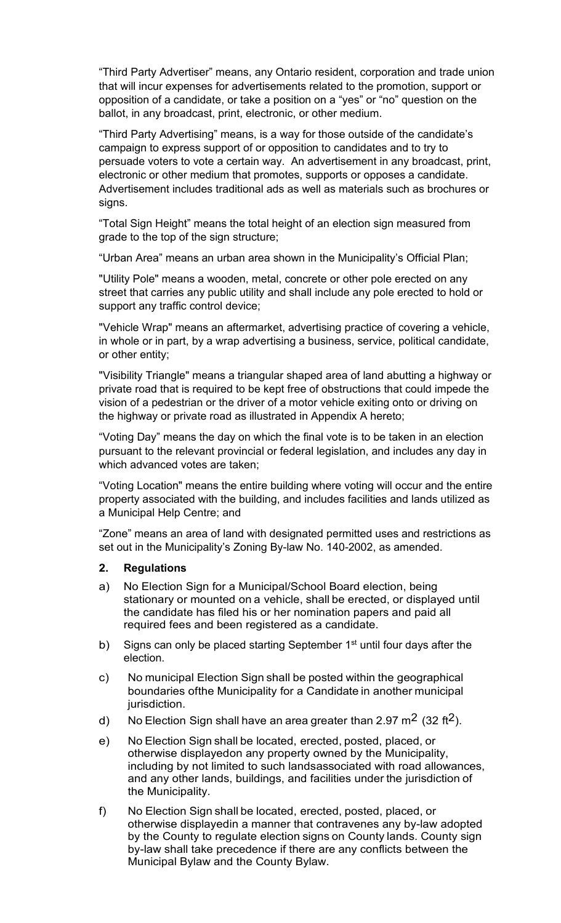that will incur expenses for advertisements related to the promotion, support or "Third Party Advertiser" means, any Ontario resident, corporation and trade union opposition of a candidate, or take a position on a "yes" or "no" question on the ballot, in any broadcast, print, electronic, or other medium.

 persuade voters to vote a certain way. An advertisement in any broadcast, print, signs. "Third Party Advertising" means, is a way for those outside of the candidate's campaign to express support of or opposition to candidates and to try to electronic or other medium that promotes, supports or opposes a candidate. Advertisement includes traditional ads as well as materials such as brochures or

signs.<br>"Total Sign Height" means the total height of an election sign measured from grade to the top of the sign structure;

"Urban Area" means an urban area shown in the Municipality's Official Plan;

"Utility Pole" means a wooden, metal, concrete or other pole erected on any street that carries any public utility and shall include any pole erected to hold or support any traffic control device;

 "Vehicle Wrap" means an aftermarket, advertising practice of covering a vehicle, in whole or in part, by a wrap advertising a business, service, political candidate, or other entity;

 vision of a pedestrian or the driver of a motor vehicle exiting onto or driving on "Visibility Triangle" means a triangular shaped area of land abutting a highway or private road that is required to be kept free of obstructions that could impede the the highway or private road as illustrated in Appendix A hereto;

 pursuant to the relevant provincial or federal legislation, and includes any day in "Voting Day" means the day on which the final vote is to be taken in an election which advanced votes are taken;

"Voting Location" means the entire building where voting will occur and the entire property associated with the building, and includes facilities and lands utilized as a Municipal Help Centre; and

"Zone" means an area of land with designated permitted uses and restrictions as set out in the Municipality's Zoning By-law No. 140-2002, as amended.

#### **2. Regulations**

- a) No Election Sign for a Municipal/School Board election, being stationary or mounted on a vehicle, shall be erected, or displayed until the candidate has filed his or her nomination papers and paid all required fees and been registered as a candidate.
- b) Signs can only be placed starting September  $1<sup>st</sup>$  until four days after the election.
- c) No municipal Election Sign shall be posted within the geographical boundaries ofthe Municipality for a Candidate in another municipal jurisdiction.
- d) No Election Sign shall have an area greater than 2.97 m<sup>2</sup> (32 ft<sup>2</sup>).
- e) No Election Sign shall be located, erected, posted, placed, or otherwise displayedon any property owned by the Municipality, including by not limited to such landsassociated with road allowances, and any other lands, buildings, and facilities under the jurisdiction of the Municipality.
- f) No Election Sign shall be located, erected, posted, placed, or otherwise displayedin a manner that contravenes any by-law adopted by the County to regulate election signs on County lands. County sign by-law shall take precedence if there are any conflicts between the Municipal Bylaw and the County Bylaw.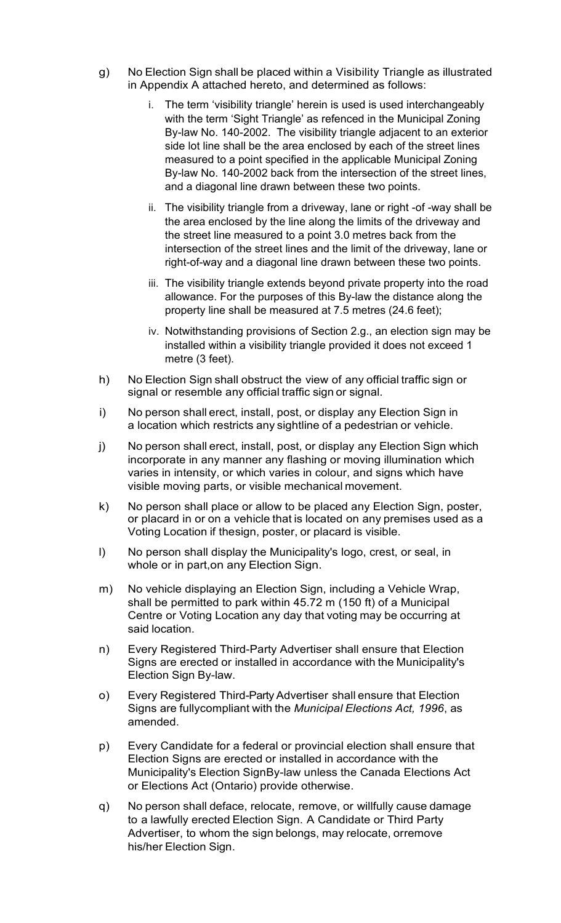- g) No Election Sign shall be placed within a Visibility Triangle as illustrated in Appendix A attached hereto, and determined as follows:
	- By-law No. 140-2002. The visibility triangle adjacent to an exterior side lot line shall be the area enclosed by each of the street lines i. The term 'visibility triangle' herein is used is used interchangeably with the term 'Sight Triangle' as refenced in the Municipal Zoning measured to a point specified in the applicable Municipal Zoning By-law No. 140-2002 back from the intersection of the street lines, and a diagonal line drawn between these two points.
	- the street line measured to a point 3.0 metres back from the intersection of the street lines and the limit of the driveway, lane or ii. The visibility triangle from a driveway, lane or right -of -way shall be the area enclosed by the line along the limits of the driveway and right-of-way and a diagonal line drawn between these two points.
	- iii. The visibility triangle extends beyond private property into the road allowance. For the purposes of this By-law the distance along the property line shall be measured at 7.5 metres (24.6 feet);
	- installed within a visibility triangle provided it does not exceed 1 iv. Notwithstanding provisions of Section 2.g., an election sign may be metre (3 feet).
- h) No Election Sign shall obstruct the view of any official traffic sign or signal or resemble any official traffic sign or signal.
- i) No person shall erect, install, post, or display any Election Sign in a location which restricts any sightline of a pedestrian or vehicle.
- j) No person shall erect, install, post, or display any Election Sign which incorporate in any manner any flashing or moving illumination which varies in intensity, or which varies in colour, and signs which have visible moving parts, or visible mechanical movement.
- k) No person shall place or allow to be placed any Election Sign, poster, or placard in or on a vehicle that is located on any premises used as a Voting Location if thesign, poster, or placard is visible.
- l) No person shall display the Municipality's logo, crest, or seal, in whole or in part,on any Election Sign.
- shall be permitted to park within 45.72 m (150 ft) of a Municipal Centre or Voting Location any day that voting may be occurring at m) No vehicle displaying an Election Sign, including a Vehicle Wrap, said location.
- n) Every Registered Third-Party Advertiser shall ensure that Election Signs are erected or installed in accordance with the Municipality's Election Sign By-law.
- o) Every Registered Third-Party Advertiser shall ensure that Election Signs are fullycompliant with the *Municipal Elections Act, 1996*, as amended.
- p) Every Candidate for a federal or provincial election shall ensure that Election Signs are erected or installed in accordance with the Municipality's Election SignBy-law unless the Canada Elections Act or Elections Act (Ontario) provide otherwise.
- q) No person shall deface, relocate, remove, or willfully cause damage to a lawfully erected Election Sign. A Candidate or Third Party Advertiser, to whom the sign belongs, may relocate, orremove his/her Election Sign.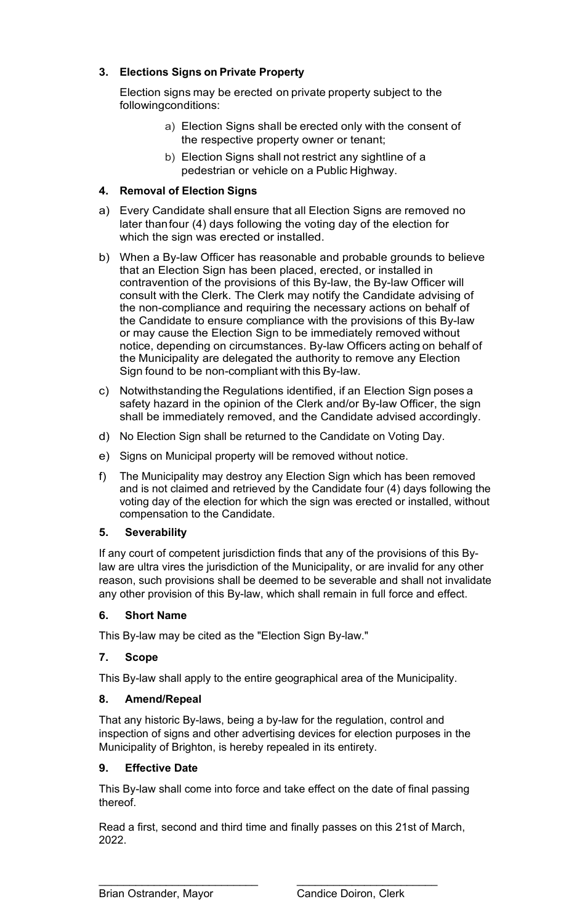## **3. Elections Signs on Private Property**

 Election signs may be erected on private property subject to the followingconditions:

- a) Election Signs shall be erected only with the consent of the respective property owner or tenant;
- b) Election Signs shall not restrict any sightline of a pedestrian or vehicle on a Public Highway.

## **4. Removal of Election Signs**

- a) Every Candidate shall ensure that all Election Signs are removed no later thanfour (4) days following the voting day of the election for which the sign was erected or installed.
- b) When a By-law Officer has reasonable and probable grounds to believe that an Election Sign has been placed, erected, or installed in contravention of the provisions of this By-law, the By-law Officer will consult with the Clerk. The Clerk may notify the Candidate advising of the non-compliance and requiring the necessary actions on behalf of the Candidate to ensure compliance with the provisions of this By-law or may cause the Election Sign to be immediately removed without notice, depending on circumstances. By-law Officers acting on behalf of the Municipality are delegated the authority to remove any Election Sign found to be non-compliant with this By-law.
- c) Notwithstanding the Regulations identified, if an Election Sign poses a safety hazard in the opinion of the Clerk and/or By-law Officer, the sign shall be immediately removed, and the Candidate advised accordingly.
- d) No Election Sign shall be returned to the Candidate on Voting Day.
- e) Signs on Municipal property will be removed without notice.
- compensation to the Candidate. f) The Municipality may destroy any Election Sign which has been removed and is not claimed and retrieved by the Candidate four (4) days following the voting day of the election for which the sign was erected or installed, without

## **5. Severability**

 If any court of competent jurisdiction finds that any of the provisions of this Bylaw are ultra vires the jurisdiction of the Municipality, or are invalid for any other reason, such provisions shall be deemed to be severable and shall not invalidate any other provision of this By-law, which shall remain in full force and effect.

## **6. Short Name**

This By-law may be cited as the "Election Sign By-law."

## **7. Scope**

This By-law shall apply to the entire geographical area of the Municipality.

#### **8. Amend/Repeal**

That any historic By-laws, being a by-law for the regulation, control and inspection of signs and other advertising devices for election purposes in the Municipality of Brighton, is hereby repealed in its entirety.

#### **9. Effective Date**

 This By-law shall come into force and take effect on the date of final passing thereof.

Read a first, second and third time and finally passes on this 21st of March, 2022.

 $\overline{a}$ 

\_\_\_\_\_\_\_\_\_\_\_\_\_\_\_\_\_\_\_\_\_\_\_\_\_\_ \_\_\_\_\_\_\_\_\_\_\_\_\_\_\_\_\_\_\_\_\_\_\_